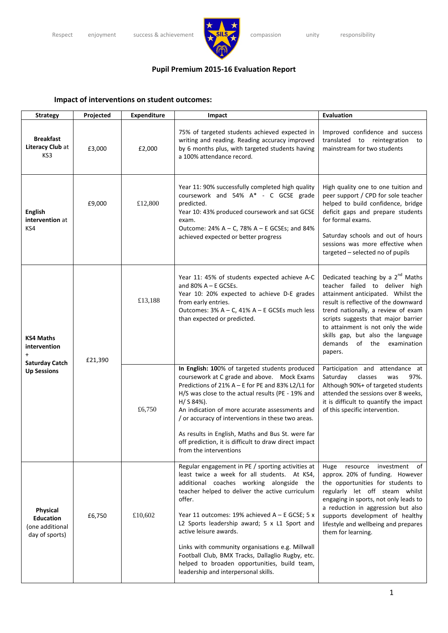

## **Pupil Premium 2015‐16 Evaluation Report**

## **Impact of interventions on student outcomes:**

| <b>Strategy</b>                                                                 | Projected | <b>Expenditure</b> | Impact                                                                                                                                                                                                                                                                                                                                                                                                                                                                                                                                 | <b>Evaluation</b>                                                                                                                                                                                                                                                                                                                                                       |
|---------------------------------------------------------------------------------|-----------|--------------------|----------------------------------------------------------------------------------------------------------------------------------------------------------------------------------------------------------------------------------------------------------------------------------------------------------------------------------------------------------------------------------------------------------------------------------------------------------------------------------------------------------------------------------------|-------------------------------------------------------------------------------------------------------------------------------------------------------------------------------------------------------------------------------------------------------------------------------------------------------------------------------------------------------------------------|
| <b>Breakfast</b><br>Literacy Club at<br>KS <sub>3</sub>                         | £3,000    | £2,000             | 75% of targeted students achieved expected in<br>writing and reading. Reading accuracy improved<br>by 6 months plus, with targeted students having<br>a 100% attendance record.                                                                                                                                                                                                                                                                                                                                                        | Improved confidence and success<br>translated to reintegration<br>to<br>mainstream for two students                                                                                                                                                                                                                                                                     |
| <b>English</b><br>intervention at<br>KS4                                        | £9,000    | £12,800            | Year 11: 90% successfully completed high quality<br>coursework and 54% A* - C GCSE grade<br>predicted.<br>Year 10: 43% produced coursework and sat GCSE<br>exam.<br>Outcome: 24% A - C, 78% A - E GCSEs; and 84%<br>achieved expected or better progress                                                                                                                                                                                                                                                                               | High quality one to one tuition and<br>peer support / CPD for sole teacher<br>helped to build confidence, bridge<br>deficit gaps and prepare students<br>for formal exams.<br>Saturday schools and out of hours<br>sessions was more effective when<br>targeted - selected no of pupils                                                                                 |
| <b>KS4 Maths</b><br>intervention<br><b>Saturday Catch</b><br><b>Up Sessions</b> | £21,390   | £13,188            | Year 11: 45% of students expected achieve A-C<br>and $80\%$ A – E GCSEs.<br>Year 10: 20% expected to achieve D-E grades<br>from early entries.<br>Outcomes: 3% A - C, 41% A - E GCSEs much less<br>than expected or predicted.                                                                                                                                                                                                                                                                                                         | Dedicated teaching by a 2 <sup>nd</sup> Maths<br>teacher failed to deliver high<br>attainment anticipated. Whilst the<br>result is reflective of the downward<br>trend nationally, a review of exam<br>scripts suggests that major barrier<br>to attainment is not only the wide<br>skills gap, but also the language<br>demands<br>of<br>examination<br>the<br>papers. |
|                                                                                 |           | £6,750             | In English: 100% of targeted students produced<br>coursework at C grade and above. Mock Exams<br>Predictions of 21% A - E for PE and 83% L2/L1 for<br>H/S was close to the actual results (PE - 19% and<br>$H/ S 84%$ ).<br>An indication of more accurate assessments and<br>/ or accuracy of interventions in these two areas.<br>As results in English, Maths and Bus St. were far<br>off prediction, it is difficult to draw direct impact<br>from the interventions                                                               | Participation and attendance at<br>Saturday<br>classes<br>97%.<br>was<br>Although 90%+ of targeted students<br>attended the sessions over 8 weeks,<br>it is difficult to quantify the impact<br>of this specific intervention.                                                                                                                                          |
| Physical<br><b>Education</b><br>(one additional<br>day of sports)               | £6,750    | £10,602            | Regular engagement in PE / sporting activities at<br>least twice a week for all students. At KS4,<br>additional coaches working alongside the<br>teacher helped to deliver the active curriculum<br>offer.<br>Year 11 outcomes: 19% achieved A - E GCSE; 5 x<br>L2 Sports leadership award; 5 x L1 Sport and<br>active leisure awards.<br>Links with community organisations e.g. Millwall<br>Football Club, BMX Tracks, Dallaglio Rugby, etc.<br>helped to broaden opportunities, build team,<br>leadership and interpersonal skills. | of<br>Huge<br>resource<br>investment<br>approx. 20% of funding. However<br>the opportunities for students to<br>regularly let off steam whilst<br>engaging in sports, not only leads to<br>a reduction in aggression but also<br>supports development of healthy<br>lifestyle and wellbeing and prepares<br>them for learning.                                          |